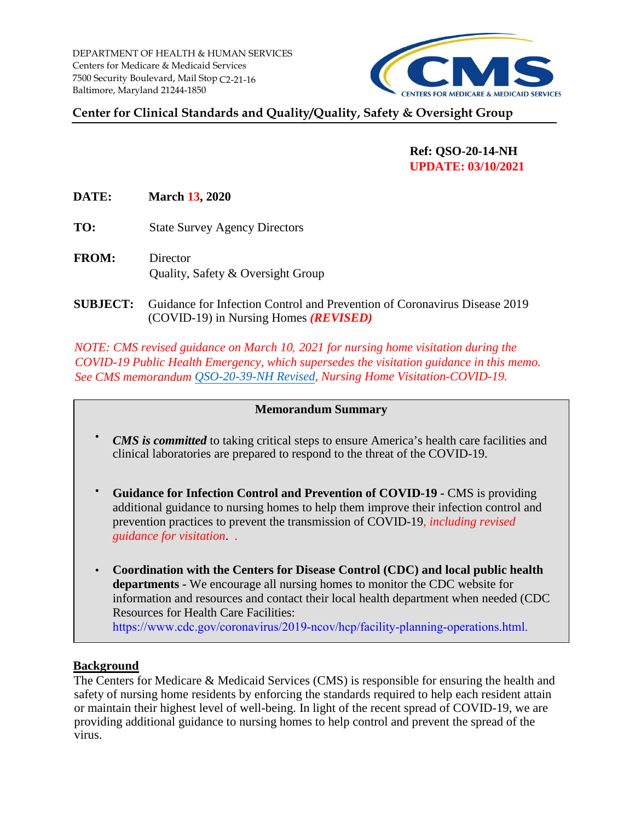

# **Center for Clinical Standards and Quality/Quality, Safety & Oversight Group**

# **Ref: QSO-20-14-NH UPDATE: 03/10/2021**

**DATE: March 13, 2020** 

- **TO:** State Survey Agency Directors
- **FROM:** Director Quality, Safety & Oversight Group
- (COVID-19) in Nursing Homes *(REVISED)*  **SUBJECT:** Guidance for Infection Control and Prevention of Coronavirus Disease 2019

*NOTE: CMS revised guidance on March 10, 2021 for nursing home visitation during the COVID-19 Public Health Emergency, which supersedes the visitation guidance in this memo. See CMS memorandum [QSO-20-39-NH Revised,](https://www.cms.gov/medicareprovider-enrollment-and-certificationsurveycertificationgeninfopolicy-and-memos-states-and/nursing-home-visitation-covid-19-revised) Nursing Home Visitation-COVID-19.* 

## **Memorandum Summary**

- *CMS is committed* to taking critical steps to ensure America's health care facilities and clinical laboratories are prepared to respond to the threat of the COVID-19.
- • **Guidance for Infection Control and Prevention of COVID-19 -** CMS is providing additional guidance to nursing homes to help them improve their infection control and prevention practices to prevent the transmission of COVID-19*, including revised guidance for visitation*. *.*
- **Coordination with the Centers for Disease Control (CDC) and local public health departments -** We encourage all nursing homes to monitor the CDC website for information and resources and contact their local health department when needed (CDC Resources for Health Care Facilities: [https://www.cdc.gov/coronavirus/2019-ncov/hcp/facility-planning-operations.html.](https://www.cdc.gov/coronavirus/2019-ncov/hcp/facility-planning-operations.html)

## **Background**

The Centers for Medicare & Medicaid Services (CMS) is responsible for ensuring the health and safety of nursing home residents by enforcing the standards required to help each resident attain or maintain their highest level of well-being. In light of the recent spread of COVID-19, we are providing additional guidance to nursing homes to help control and prevent the spread of the virus.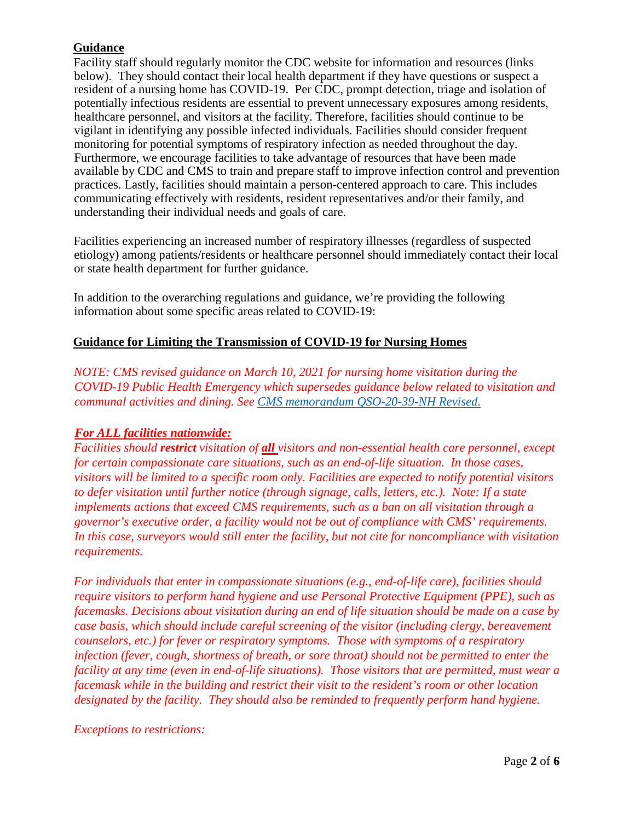# **Guidance**

 vigilant in identifying any possible infected individuals. Facilities should consider frequent practices. Lastly, facilities should maintain a person-centered approach to care. This includes Facility staff should regularly monitor the CDC website for information and resources (links below). They should contact their local health department if they have questions or suspect a resident of a nursing home has COVID-19. Per CDC, prompt detection, triage and isolation of potentially infectious residents are essential to prevent unnecessary exposures among residents, healthcare personnel, and visitors at the facility. Therefore, facilities should continue to be monitoring for potential symptoms of respiratory infection as needed throughout the day. Furthermore, we encourage facilities to take advantage of resources that have been made available by CDC and CMS to train and prepare staff to improve infection control and prevention communicating effectively with residents, resident representatives and/or their family, and understanding their individual needs and goals of care.

Facilities experiencing an increased number of respiratory illnesses (regardless of suspected etiology) among patients/residents or healthcare personnel should immediately contact their local or state health department for further guidance.

In addition to the overarching regulations and guidance, we're providing the following information about some specific areas related to COVID-19:

# **Guidance for Limiting the Transmission of COVID-19 for Nursing Homes**

*NOTE: CMS revised guidance on March 10, 2021 for nursing home visitation during the COVID-19 Public Health Emergency which supersedes guidance below related to visitation and communal activities and dining. See [CMS memorandum QSO-20-39-NH Revised.](https://www.cms.gov/files/document/qso-20-39-nh-revised.pdf)* 

# *For ALL facilities nationwide:*

*Facilities should restrict visitation of all visitors and non-essential health care personnel, except for certain compassionate care situations, such as an end-of-life situation. In those cases, visitors will be limited to a specific room only. Facilities are expected to notify potential visitors to defer visitation until further notice (through signage, calls, letters, etc.). Note: If a state implements actions that exceed CMS requirements, such as a ban on all visitation through a governor's executive order, a facility would not be out of compliance with CMS' requirements. In this case, surveyors would still enter the facility, but not cite for noncompliance with visitation requirements.* 

*For individuals that enter in compassionate situations (e.g., end-of-life care), facilities should require visitors to perform hand hygiene and use Personal Protective Equipment (PPE), such as facemasks. Decisions about visitation during an end of life situation should be made on a case by case basis, which should include careful screening of the visitor (including clergy, bereavement counselors, etc.) for fever or respiratory symptoms. Those with symptoms of a respiratory infection (fever, cough, shortness of breath, or sore throat) should not be permitted to enter the facility at any time (even in end-of-life situations). Those visitors that are permitted, must wear a facemask while in the building and restrict their visit to the resident's room or other location designated by the facility. They should also be reminded to frequently perform hand hygiene.* 

# *Exceptions to restrictions:*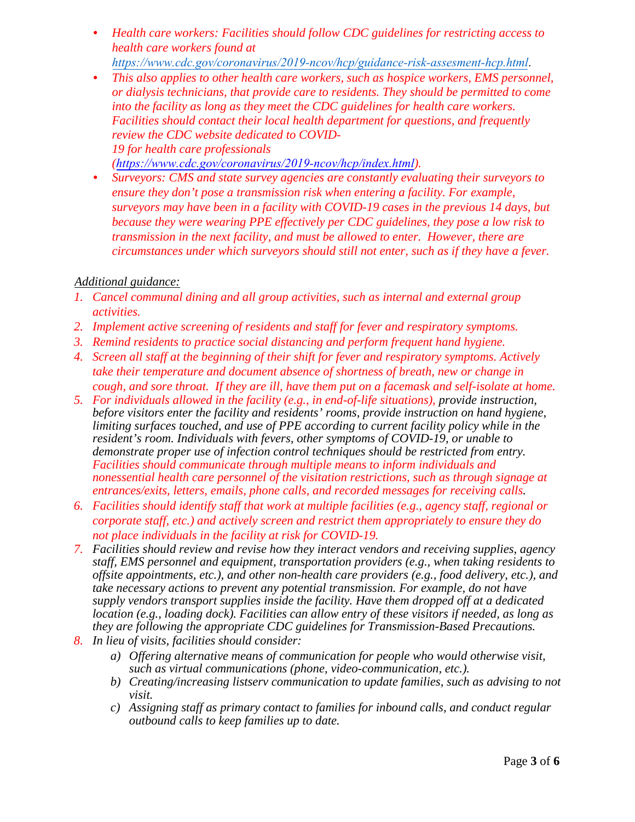• *Health care workers: Facilities should follow CDC guidelines for restricting access to health care workers found at*

 *https://www.cdc.gov/coronavirus/2019-ncov/hcp/guidance-risk-assesment-hcp.html*. • *This also applies to other health care workers, such as hospice workers, EMS personnel, or dialysis technicians, that provide care to residents. They should be permitted to come into the facility as long as they meet the CDC guidelines for health care workers. Facilities should contact their local health department for questions, and frequently*

*review the CDC website dedicated to COVID-19 for health care professionals*

*[\(](https://www.cdc.gov/coronavirus/2019)<https://www.cdc.gov/coronavirus/2019-ncov/hcp/index.html>[\).](https://www.cdc.gov/coronavirus/2019-nCoV/hcp/index.html)*

• *Surveyors: CMS and state survey agencies are constantly evaluating their surveyors to ensure they don't pose a transmission risk when entering a facility. For example, surveyors may have been in a facility with COVID-19 cases in the previous 14 days, but because they were wearing PPE effectively per CDC guidelines, they pose a low risk to transmission in the next facility, and must be allowed to enter. However, there are circumstances under which surveyors should still not enter, such as if they have a fever.* 

# *Additional guidance:*

- *1. Cancel communal dining and all group activities, such as internal and external group activities.*
- *2. Implement active screening of residents and staff for fever and respiratory symptoms.*
- *3. Remind residents to practice social distancing and perform frequent hand hygiene.*
- *4. Screen all staff at the beginning of their shift for fever and respiratory symptoms. Actively take their temperature and document absence of shortness of breath, new or change in cough, and sore throat. If they are ill, have them put on a facemask and self-isolate at home.*
- *5. For individuals allowed in the facility (e.g., in end-of-life situations), provide instruction, before visitors enter the facility and residents' rooms, provide instruction on hand hygiene, limiting surfaces touched, and use of PPE according to current facility policy while in the resident's room. Individuals with fevers, other symptoms of COVID-19, or unable to demonstrate proper use of infection control techniques should be restricted from entry. Facilities should communicate through multiple means to inform individuals and nonessential health care personnel of the visitation restrictions, such as through signage at entrances/exits, letters, emails, phone calls, and recorded messages for receiving calls.*
- *6. Facilities should identify staff that work at multiple facilities (e.g., agency staff, regional or corporate staff, etc.) and actively screen and restrict them appropriately to ensure they do not place individuals in the facility at risk for COVID-19.*
- *7. Facilities should review and revise how they interact vendors and receiving supplies, agency staff, EMS personnel and equipment, transportation providers (e.g., when taking residents to offsite appointments, etc.), and other non-health care providers (e.g., food delivery, etc.), and take necessary actions to prevent any potential transmission. For example, do not have supply vendors transport supplies inside the facility. Have them dropped off at a dedicated location (e.g., loading dock). Facilities can allow entry of these visitors if needed, as long as they are following the appropriate CDC guidelines for Transmission-Based Precautions.*
- *8. In lieu of visits, facilities should consider:*
	- *a) Offering alternative means of communication for people who would otherwise visit, such as virtual communications (phone, video-communication, etc.).*
	- *visit. b) Creating/increasing listserv communication to update families, such as advising to not*
	- *c) Assigning staff as primary contact to families for inbound calls, and conduct regular outbound calls to keep families up to date.*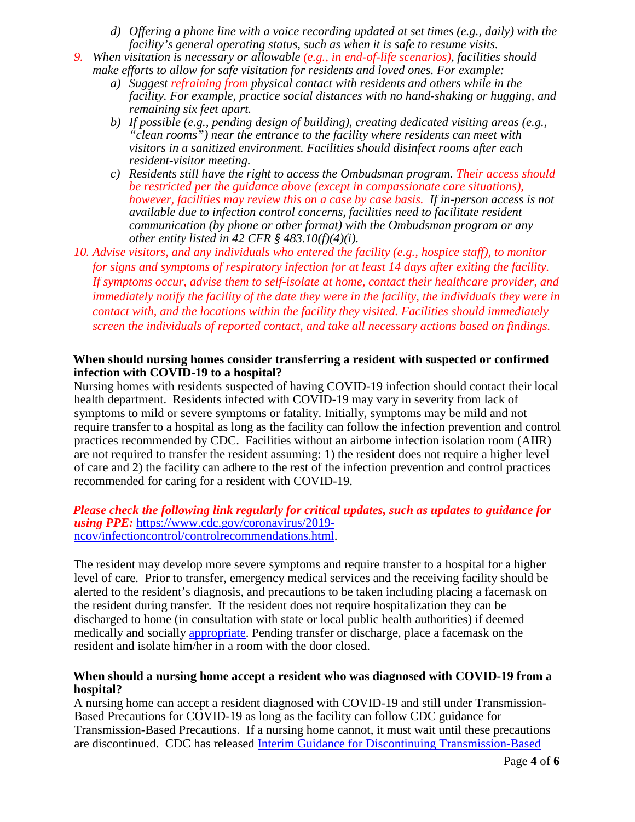- *d) Offering a phone line with a voice recording updated at set times (e.g., daily) with the facility's general operating status, such as when it is safe to resume visits.*
- *9. When visitation is necessary or allowable (e.g., in end-of-life scenarios), facilities should make efforts to allow for safe visitation for residents and loved ones. For example:*
	- *a) Suggest refraining from physical contact with residents and others while in the facility. For example, practice social distances with no hand-shaking or hugging, and remaining six feet apart.*
	- *b) If possible (e.g., pending design of building), creating dedicated visiting areas (e.g., "clean rooms") near the entrance to the facility where residents can meet with visitors in a sanitized environment. Facilities should disinfect rooms after each resident-visitor meeting.*
	- *communication (by phone or other format) with the Ombudsman program or any c) Residents still have the right to access the Ombudsman program. Their access should be restricted per the guidance above (except in compassionate care situations), however, facilities may review this on a case by case basis. If in-person access is not available due to infection control concerns, facilities need to facilitate resident other entity listed in 42 CFR § 483.10(f)(4)(i).*
- *10. Advise visitors, and any individuals who entered the facility (e.g., hospice staff), to monitor for signs and symptoms of respiratory infection for at least 14 days after exiting the facility. If symptoms occur, advise them to self-isolate at home, contact their healthcare provider, and immediately notify the facility of the date they were in the facility, the individuals they were in contact with, and the locations within the facility they visited. Facilities should immediately screen the individuals of reported contact, and take all necessary actions based on findings.*

## **When should nursing homes consider transferring a resident with suspected or confirmed infection with COVID-19 to a hospital?**

 health department. Residents infected with COVID-19 may vary in severity from lack of symptoms to mild or severe symptoms or fatality. Initially, symptoms may be mild and not are not required to transfer the resident assuming: 1) the resident does not require a higher level Nursing homes with residents suspected of having COVID-19 infection should contact their local require transfer to a hospital as long as the facility can follow the infection prevention and control practices recommended by CDC. Facilities without an airborne infection isolation room (AIIR) of care and 2) the facility can adhere to the rest of the infection prevention and control practices recommended for caring for a resident with COVID-19.

#### *Please check the following link regularly for critical updates, such as updates to guidance for using PPE:* [https://www.cdc.gov/coronavirus/2019](https://www.cdc.gov/coronavirus/2019-ncov/infection) [ncov/infection](https://www.cdc.gov/coronavirus/2019-ncov/infection)[control/controlrecommendations.html.](https://www.cdc.gov/coronavirus/2019-ncov/infection-control/control-recommendations.html)

 the resident during transfer. If the resident does not require hospitalization they can be medically and socially **appropriate**. Pending transfer or discharge, place a facemask on the The resident may develop more severe symptoms and require transfer to a hospital for a higher level of care. Prior to transfer, emergency medical services and the receiving facility should be alerted to the resident's diagnosis, and precautions to be taken including placing a facemask on discharged to home (in consultation with state or local public health authorities) if deemed resident and isolate him/her in a room with the door closed.

## **When should a nursing home accept a resident who was diagnosed with COVID-19 from a hospital?**

A nursing home can accept a resident diagnosed with COVID-19 and still under Transmission-Based Precautions for COVID-19 as long as the facility can follow CDC guidance for Transmission-Based Precautions. If a nursing home cannot, it must wait until these precautions are discontinued. CDC has released [Interim Guidance for Discontinuing Transmission-Based](https://www.cdc.gov/coronavirus/2019-ncov/hcp/clinical-guidance-management-patients.html#clinical-management-treatment%3C)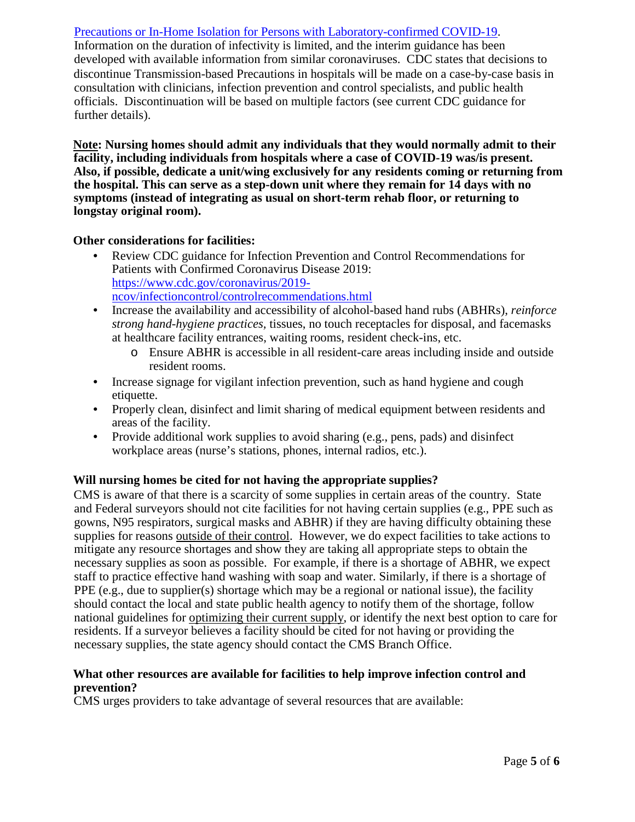# [Precautions or In-Home Isolation for Persons with Laboratory-confirmed COVID-19.](https://www.cdc.gov/coronavirus/2019-ncov/hcp/clinical-guidance-management-patients.html#clinical-management-treatment%3C)

 officials. Discontinuation will be based on multiple factors (see current CDC guidance for further details). Information on the duration of infectivity is limited, and the interim guidance has been developed with available information from similar coronaviruses. CDC states that decisions to discontinue Transmission-based Precautions in hospitals will be made on a case-by-case basis in consultation with clinicians, infection prevention and control specialists, and public health

 **Note: Nursing homes should admit any individuals that they would normally admit to their facility, including individuals from hospitals where a case of COVID-19 was/is present. Also, if possible, dedicate a unit/wing exclusively for any residents coming or returning from the hospital. This can serve as a step-down unit where they remain for 14 days with no symptoms (instead of integrating as usual on short-term rehab floor, or returning to longstay original room).** 

#### **Other considerations for facilities:**

- Review CDC guidance for Infection Prevention and Control Recommendations for Patients with Confirmed Coronavirus Disease 2019: [https://www.cdc.gov/coronavirus/2019](https://www.cdc.gov/coronavirus/2019-ncov/infection) [ncov/infection](https://www.cdc.gov/coronavirus/2019-ncov/infection)[control/controlrecommendations.html](https://www.cdc.gov/coronavirus/2019-ncov/infection-control/control-recommendations.html)
- Increase the availability and accessibility of alcohol-based hand rubs (ABHRs), *reinforce strong hand-hygiene practices,* tissues, no touch receptacles for disposal, and facemasks at healthcare facility entrances, waiting rooms, resident check-ins, etc.
	- o Ensure ABHR is accessible in all resident-care areas including inside and outside resident rooms.
- Increase signage for vigilant infection prevention, such as hand hygiene and cough etiquette.
- Properly clean, disinfect and limit sharing of medical equipment between residents and areas of the facility.
- Provide additional work supplies to avoid sharing (e.g., pens, pads) and disinfect workplace areas (nurse's stations, phones, internal radios, etc.).

## **Will nursing homes be cited for not having the appropriate supplies?**

national guidelines for *optimizing their current supply*, or identify the next best option to care for CMS is aware of that there is a scarcity of some supplies in certain areas of the country. State and Federal surveyors should not cite facilities for not having certain supplies (e.g., PPE such as gowns, N95 respirators, surgical masks and ABHR) if they are having difficulty obtaining these supplies for reasons outside of their control. However, we do expect facilities to take actions to mitigate any resource shortages and show they are taking all appropriate steps to obtain the necessary supplies as soon as possible. For example, if there is a shortage of ABHR, we expect staff to practice effective hand washing with soap and water. Similarly, if there is a shortage of PPE (e.g., due to supplier(s) shortage which may be a regional or national issue), the facility should contact the local and state public health agency to notify them of the shortage, follow residents. If a surveyor believes a facility should be cited for not having or providing the necessary supplies, the state agency should contact the CMS Branch Office.

## **What other resources are available for facilities to help improve infection control and prevention?**

CMS urges providers to take advantage of several resources that are available: